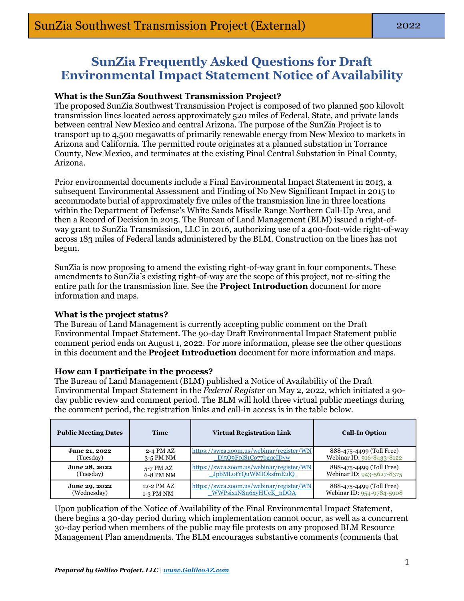# **SunZia Frequently Asked Questions for Draft Environmental Impact Statement Notice of Availability**

# **What is the SunZia Southwest Transmission Project?**

The proposed SunZia Southwest Transmission Project is composed of two planned 500 kilovolt transmission lines located across approximately 520 miles of Federal, State, and private lands between central New Mexico and central Arizona. The purpose of the SunZia Project is to transport up to 4,500 megawatts of primarily renewable energy from New Mexico to markets in Arizona and California. The permitted route originates at a planned substation in Torrance County, New Mexico, and terminates at the existing Pinal Central Substation in Pinal County, Arizona.

Prior environmental documents include a Final Environmental Impact Statement in 2013, a subsequent Environmental Assessment and Finding of No New Significant Impact in 2015 to accommodate burial of approximately five miles of the transmission line in three locations within the Department of Defense's White Sands Missile Range Northern Call-Up Area, and then a Record of Decision in 2015. The Bureau of Land Management (BLM) issued a right-ofway grant to SunZia Transmission, LLC in 2016, authorizing use of a 400-foot-wide right-of-way across 183 miles of Federal lands administered by the BLM. Construction on the lines has not begun.

SunZia is now proposing to amend the existing right-of-way grant in four components. These amendments to SunZia's existing right-of-way are the scope of this project, not re-siting the entire path for the transmission line. See the **Project Introduction** document for more information and maps.

# **What is the project status?**

The Bureau of Land Management is currently accepting public comment on the Draft Environmental Impact Statement. The 90-day Draft Environmental Impact Statement public comment period ends on August 1, 2022. For more information, please see the other questions in this document and the **Project Introduction** document for more information and maps.

# **How can I participate in the process?**

The Bureau of Land Management (BLM) published a Notice of Availability of the Draft Environmental Impact Statement in the *Federal Register* on May 2, 2022, which initiated a 90 day public review and comment period. The BLM will hold three virtual public meetings during the comment period, the registration links and call-in access is in the table below.

| <b>Public Meeting Dates</b> | <b>Time</b> | <b>Virtual Registration Link</b>         | <b>Call-In Option</b>     |
|-----------------------------|-------------|------------------------------------------|---------------------------|
| <b>June 21, 2022</b>        | 2-4 PM AZ   | https://swca.zoom.us/webinar/register/WN | 888-475-4499 (Toll Free)  |
| (Tuesday)                   | $3-5$ PM NM | Di5Q9FolS1Co77bgqcIDyw                   | Webinar ID: 916-8433-8122 |
| June 28, 2022               | 5-7 PM AZ   | https://swca.zoom.us/webinar/register/WN | 888-475-4499 (Toll Free)  |
| (Tuesday)                   | 6-8 PM NM   | JpbMLotYQuWMIOksfmE2lQ                   | Webinar ID: 943-5627-8375 |
| June 29, 2022               | 12-2 PM AZ  | https://swca.zoom.us/webinar/register/WN | 888-475-4499 (Toll Free)  |
| (Wednesday)                 | $1-3$ PM NM | WWPsix1NSn6xyHUeK nDOA                   | Webinar ID: 954-9784-5908 |

Upon publication of the Notice of Availability of the Final Environmental Impact Statement, there begins a 30-day period during which implementation cannot occur, as well as a concurrent 30-day period when members of the public may file protests on any proposed BLM Resource Management Plan amendments. The BLM encourages substantive comments (comments that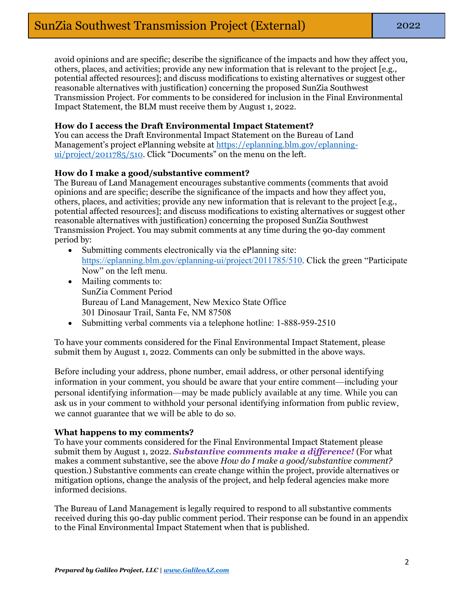avoid opinions and are specific; describe the significance of the impacts and how they affect you, others, places, and activities; provide any new information that is relevant to the project [e.g., potential affected resources]; and discuss modifications to existing alternatives or suggest other reasonable alternatives with justification) concerning the proposed SunZia Southwest Transmission Project. For comments to be considered for inclusion in the Final Environmental Impact Statement, the BLM must receive them by August 1, 2022.

### **How do I access the Draft Environmental Impact Statement?**

You can access the Draft Environmental Impact Statement on the Bureau of Land Management's project ePlanning website at [https://eplanning.blm.gov/eplanning](https://eplanning.blm.gov/eplanning-ui/project/2011785/510)[ui/project/2011785/510.](https://eplanning.blm.gov/eplanning-ui/project/2011785/510) Click "Documents" on the menu on the left.

### **How do I make a good/substantive comment?**

The Bureau of Land Management encourages substantive comments (comments that avoid opinions and are specific; describe the significance of the impacts and how they affect you, others, places, and activities; provide any new information that is relevant to the project [e.g., potential affected resources]; and discuss modifications to existing alternatives or suggest other reasonable alternatives with justification) concerning the proposed SunZia Southwest Transmission Project. You may submit comments at any time during the 90-day comment period by:

- Submitting comments electronically via the ePlanning site: [https://eplanning.blm.gov/eplanning-ui/project/2011785/510.](https://eplanning.blm.gov/eplanning-ui/project/2011785/510) Click the green "Participate" Now" on the left menu.
- Mailing comments to: SunZia Comment Period Bureau of Land Management, New Mexico State Office 301 Dinosaur Trail, Santa Fe, NM 87508
- Submitting verbal comments via a telephone hotline: 1-888-959-2510

To have your comments considered for the Final Environmental Impact Statement, please submit them by August 1, 2022. Comments can only be submitted in the above ways.

Before including your address, phone number, email address, or other personal identifying information in your comment, you should be aware that your entire comment—including your personal identifying information—may be made publicly available at any time. While you can ask us in your comment to withhold your personal identifying information from public review, we cannot guarantee that we will be able to do so.

### **What happens to my comments?**

To have your comments considered for the Final Environmental Impact Statement please submit them by August 1, 2022. *Substantive comments make a difference!* (For what makes a comment substantive, see the above *How do I make a good/substantive comment?* question.) Substantive comments can create change within the project, provide alternatives or mitigation options, change the analysis of the project, and help federal agencies make more informed decisions.

The Bureau of Land Management is legally required to respond to all substantive comments received during this 90-day public comment period. Their response can be found in an appendix to the Final Environmental Impact Statement when that is published.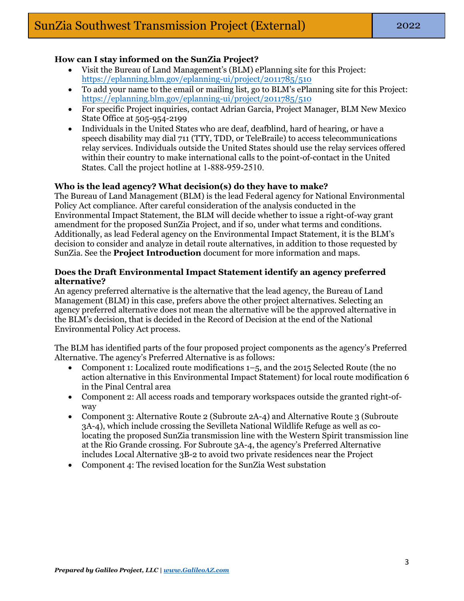## **How can I stay informed on the SunZia Project?**

- Visit the Bureau of Land Management's (BLM) ePlanning site for this Project: <https://eplanning.blm.gov/eplanning-ui/project/2011785/510>
- To add your name to the email or mailing list, go to BLM's ePlanning site for this Project: <https://eplanning.blm.gov/eplanning-ui/project/2011785/510>
- For specific Project inquiries, contact Adrian Garcia, Project Manager, BLM New Mexico State Office at 505-954-2199
- Individuals in the United States who are deaf, deafblind, hard of hearing, or have a speech disability may dial 711 (TTY, TDD, or TeleBraile) to access telecommunications relay services. Individuals outside the United States should use the relay services offered within their country to make international calls to the point-of-contact in the United States. Call the project hotline at 1-888-959-2510.

## **Who is the lead agency? What decision(s) do they have to make?**

The Bureau of Land Management (BLM) is the lead Federal agency for National Environmental Policy Act compliance. After careful consideration of the analysis conducted in the Environmental Impact Statement, the BLM will decide whether to issue a right-of-way grant amendment for the proposed SunZia Project, and if so, under what terms and conditions. Additionally, as lead Federal agency on the Environmental Impact Statement, it is the BLM's decision to consider and analyze in detail route alternatives, in addition to those requested by SunZia. See the **Project Introduction** document for more information and maps.

### **Does the Draft Environmental Impact Statement identify an agency preferred alternative?**

An agency preferred alternative is the alternative that the lead agency, the Bureau of Land Management (BLM) in this case, prefers above the other project alternatives. Selecting an agency preferred alternative does not mean the alternative will be the approved alternative in the BLM's decision, that is decided in the Record of Decision at the end of the National Environmental Policy Act process.

The BLM has identified parts of the four proposed project components as the agency's Preferred Alternative. The agency's Preferred Alternative is as follows:

- Component 1: Localized route modifications 1–5, and the 2015 Selected Route (the no action alternative in this Environmental Impact Statement) for local route modification 6 in the Pinal Central area
- Component 2: All access roads and temporary workspaces outside the granted right-ofway
- Component 3: Alternative Route 2 (Subroute 2A-4) and Alternative Route 3 (Subroute 3A-4), which include crossing the Sevilleta National Wildlife Refuge as well as colocating the proposed SunZia transmission line with the Western Spirit transmission line at the Rio Grande crossing. For Subroute 3A-4, the agency's Preferred Alternative includes Local Alternative 3B-2 to avoid two private residences near the Project
- Component 4: The revised location for the SunZia West substation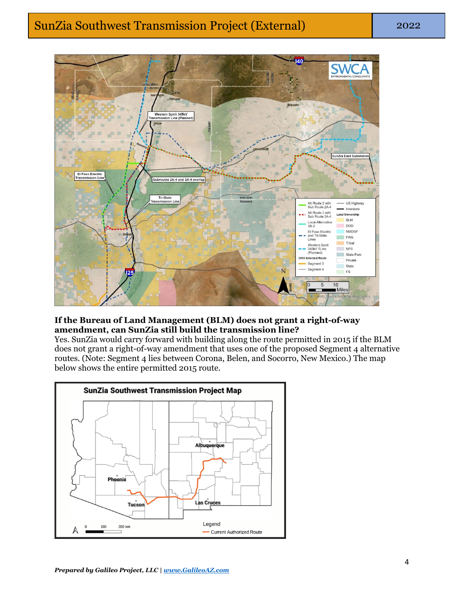# SunZia Southwest Transmission Project (External) 2022



#### **If the Bureau of Land Management (BLM) does not grant a right-of-way amendment, can SunZia still build the transmission line?**

Yes. SunZia would carry forward with building along the route permitted in 2015 if the BLM does not grant a right-of-way amendment that uses one of the proposed Segment 4 alternative routes. (Note: Segment 4 lies between Corona, Belen, and Socorro, New Mexico.) The map below shows the entire permitted 2015 route.

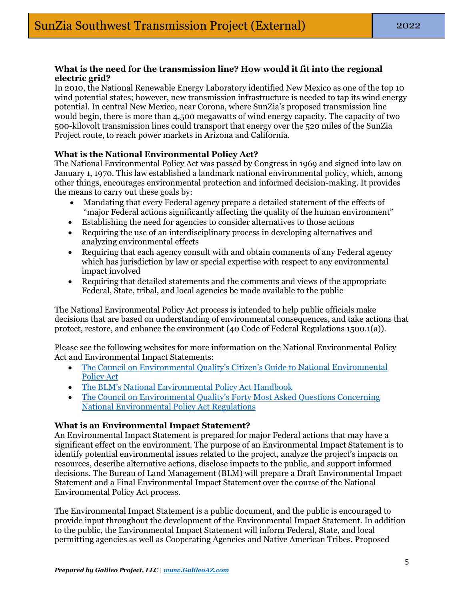### **What is the need for the transmission line? How would it fit into the regional electric grid?**

In 2010, the National Renewable Energy Laboratory identified New Mexico as one of the top 10 wind potential states; however, new transmission infrastructure is needed to tap its wind energy potential. In central New Mexico, near Corona, where SunZia's proposed transmission line would begin, there is more than 4,500 megawatts of wind energy capacity. The capacity of two 500-kilovolt transmission lines could transport that energy over the 520 miles of the SunZia Project route, to reach power markets in Arizona and California.

# **What is the National Environmental Policy Act?**

The National Environmental Policy Act was passed by Congress in 1969 and signed into law on January 1, 1970. This law established a landmark national environmental policy, which, among other things, encourages environmental protection and informed decision-making. It provides the means to carry out these goals by:

- Mandating that every Federal agency prepare a detailed statement of the effects of "major Federal actions significantly affecting the quality of the human environment"
- Establishing the need for agencies to consider alternatives to those actions
- Requiring the use of an interdisciplinary process in developing alternatives and analyzing environmental effects
- Requiring that each agency consult with and obtain comments of any Federal agency which has jurisdiction by law or special expertise with respect to any environmental impact involved
- Requiring that detailed statements and the comments and views of the appropriate Federal, State, tribal, and local agencies be made available to the public

The National Environmental Policy Act process is intended to help public officials make decisions that are based on understanding of environmental consequences, and take actions that protect, restore, and enhance the environment (40 Code of Federal Regulations 1500.1(a)).

Please see the following websites for more information on the National Environmental Policy Act and Environmental Impact Statements:

- [The Council on Environmental Quality's Citizen's Guide to N](https://ceq.doe.gov/docs/get-involved/Citizens_Guide_Dec07.pdf)ational Environmental Policy Act
- [The BLM's National Environmental Policy Act Handbook](https://www.blm.gov/sites/blm.gov/files/uploads/Media_Library_BLM_Policy_Handbook_h1790-1.pdf)
- [The Council on Environmental Quality's Forty Most Asked Questions Concerning](https://www.energy.gov/sites/prod/files/2018/06/f53/G-CEQ-40Questions.pdf) [National Environmental Policy Act Regulations](https://www.energy.gov/sites/prod/files/2018/06/f53/G-CEQ-40Questions.pdf)

# **What is an Environmental Impact Statement?**

An Environmental Impact Statement is prepared for major Federal actions that may have a significant effect on the environment. The purpose of an Environmental Impact Statement is to identify potential environmental issues related to the project, analyze the project's impacts on resources, describe alternative actions, disclose impacts to the public, and support informed decisions. The Bureau of Land Management (BLM) will prepare a Draft Environmental Impact Statement and a Final Environmental Impact Statement over the course of the National Environmental Policy Act process.

The Environmental Impact Statement is a public document, and the public is encouraged to provide input throughout the development of the Environmental Impact Statement. In addition to the public, the Environmental Impact Statement will inform Federal, State, and local permitting agencies as well as Cooperating Agencies and Native American Tribes. Proposed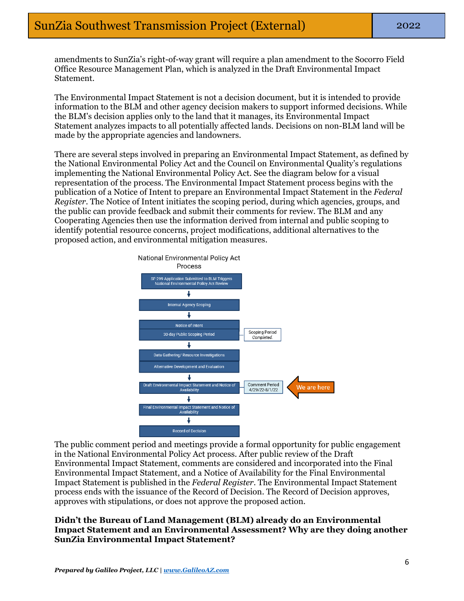amendments to SunZia's right-of-way grant will require a plan amendment to the Socorro Field Office Resource Management Plan, which is analyzed in the Draft Environmental Impact Statement.

The Environmental Impact Statement is not a decision document, but it is intended to provide information to the BLM and other agency decision makers to support informed decisions. While the BLM's decision applies only to the land that it manages, its Environmental Impact Statement analyzes impacts to all potentially affected lands. Decisions on non-BLM land will be made by the appropriate agencies and landowners.

There are several steps involved in preparing an Environmental Impact Statement, as defined by the National Environmental Policy Act and the Council on Environmental Quality's regulations implementing the National Environmental Policy Act. See the diagram below for a visual representation of the process. The Environmental Impact Statement process begins with the publication of a Notice of Intent to prepare an Environmental Impact Statement in the *Federal Register*. The Notice of Intent initiates the scoping period, during which agencies, groups, and the public can provide feedback and submit their comments for review. The BLM and any Cooperating Agencies then use the information derived from internal and public scoping to identify potential resource concerns, project modifications, additional alternatives to the proposed action, and environmental mitigation measures.



The public comment period and meetings provide a formal opportunity for public engagement in the National Environmental Policy Act process. After public review of the Draft Environmental Impact Statement, comments are considered and incorporated into the Final Environmental Impact Statement, and a Notice of Availability for the Final Environmental Impact Statement is published in the *Federal Register*. The Environmental Impact Statement process ends with the issuance of the Record of Decision. The Record of Decision approves, approves with stipulations, or does not approve the proposed action.

### **Didn't the Bureau of Land Management (BLM) already do an Environmental Impact Statement and an Environmental Assessment? Why are they doing another SunZia Environmental Impact Statement?**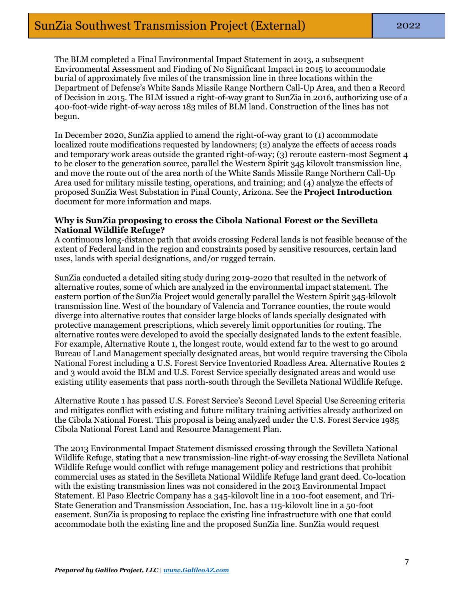The BLM completed a Final Environmental Impact Statement in 2013, a subsequent Environmental Assessment and Finding of No Significant Impact in 2015 to accommodate burial of approximately five miles of the transmission line in three locations within the Department of Defense's White Sands Missile Range Northern Call-Up Area, and then a Record of Decision in 2015. The BLM issued a right-of-way grant to SunZia in 2016, authorizing use of a 400-foot-wide right-of-way across 183 miles of BLM land. Construction of the lines has not begun.

In December 2020, SunZia applied to amend the right-of-way grant to (1) accommodate localized route modifications requested by landowners; (2) analyze the effects of access roads and temporary work areas outside the granted right-of-way; (3) reroute eastern-most Segment 4 to be closer to the generation source, parallel the Western Spirit 345 kilovolt transmission line, and move the route out of the area north of the White Sands Missile Range Northern Call-Up Area used for military missile testing, operations, and training; and (4) analyze the effects of proposed SunZia West Substation in Pinal County, Arizona. See the **Project Introduction** document for more information and maps.

### **Why is SunZia proposing to cross the Cibola National Forest or the Sevilleta National Wildlife Refuge?**

A continuous long-distance path that avoids crossing Federal lands is not feasible because of the extent of Federal land in the region and constraints posed by sensitive resources, certain land uses, lands with special designations, and/or rugged terrain.

SunZia conducted a detailed siting study during 2019-2020 that resulted in the network of alternative routes, some of which are analyzed in the environmental impact statement. The eastern portion of the SunZia Project would generally parallel the Western Spirit 345-kilovolt transmission line. West of the boundary of Valencia and Torrance counties, the route would diverge into alternative routes that consider large blocks of lands specially designated with protective management prescriptions, which severely limit opportunities for routing. The alternative routes were developed to avoid the specially designated lands to the extent feasible. For example, Alternative Route 1, the longest route, would extend far to the west to go around Bureau of Land Management specially designated areas, but would require traversing the Cibola National Forest including a U.S. Forest Service Inventoried Roadless Area. Alternative Routes 2 and 3 would avoid the BLM and U.S. Forest Service specially designated areas and would use existing utility easements that pass north-south through the Sevilleta National Wildlife Refuge.

Alternative Route 1 has passed U.S. Forest Service's Second Level Special Use Screening criteria and mitigates conflict with existing and future military training activities already authorized on the Cibola National Forest. This proposal is being analyzed under the U.S. Forest Service 1985 Cibola National Forest Land and Resource Management Plan.

The 2013 Environmental Impact Statement dismissed crossing through the Sevilleta National Wildlife Refuge, stating that a new transmission-line right-of-way crossing the Sevilleta National Wildlife Refuge would conflict with refuge management policy and restrictions that prohibit commercial uses as stated in the Sevilleta National Wildlife Refuge land grant deed. Co-location with the existing transmission lines was not considered in the 2013 Environmental Impact Statement. El Paso Electric Company has a 345-kilovolt line in a 100-foot easement, and Tri-State Generation and Transmission Association, Inc. has a 115-kilovolt line in a 50-foot easement. SunZia is proposing to replace the existing line infrastructure with one that could accommodate both the existing line and the proposed SunZia line. SunZia would request